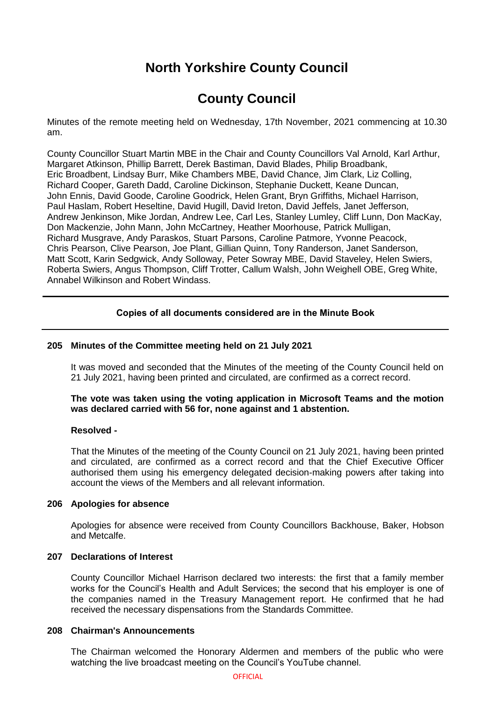# **North Yorkshire County Council**

# **County Council**

Minutes of the remote meeting held on Wednesday, 17th November, 2021 commencing at 10.30 am.

County Councillor Stuart Martin MBE in the Chair and County Councillors Val Arnold, Karl Arthur, Margaret Atkinson, Phillip Barrett, Derek Bastiman, David Blades, Philip Broadbank, Eric Broadbent, Lindsay Burr, Mike Chambers MBE, David Chance, Jim Clark, Liz Colling, Richard Cooper, Gareth Dadd, Caroline Dickinson, Stephanie Duckett, Keane Duncan, John Ennis, David Goode, Caroline Goodrick, Helen Grant, Bryn Griffiths, Michael Harrison, Paul Haslam, Robert Heseltine, David Hugill, David Ireton, David Jeffels, Janet Jefferson, Andrew Jenkinson, Mike Jordan, Andrew Lee, Carl Les, Stanley Lumley, Cliff Lunn, Don MacKay, Don Mackenzie, John Mann, John McCartney, Heather Moorhouse, Patrick Mulligan, Richard Musgrave, Andy Paraskos, Stuart Parsons, Caroline Patmore, Yvonne Peacock, Chris Pearson, Clive Pearson, Joe Plant, Gillian Quinn, Tony Randerson, Janet Sanderson, Matt Scott, Karin Sedgwick, Andy Solloway, Peter Sowray MBE, David Staveley, Helen Swiers, Roberta Swiers, Angus Thompson, Cliff Trotter, Callum Walsh, John Weighell OBE, Greg White, Annabel Wilkinson and Robert Windass.

# **Copies of all documents considered are in the Minute Book**

# **205 Minutes of the Committee meeting held on 21 July 2021**

It was moved and seconded that the Minutes of the meeting of the County Council held on 21 July 2021, having been printed and circulated, are confirmed as a correct record.

**The vote was taken using the voting application in Microsoft Teams and the motion was declared carried with 56 for, none against and 1 abstention.**

#### **Resolved -**

That the Minutes of the meeting of the County Council on 21 July 2021, having been printed and circulated, are confirmed as a correct record and that the Chief Executive Officer authorised them using his emergency delegated decision-making powers after taking into account the views of the Members and all relevant information.

#### **206 Apologies for absence**

Apologies for absence were received from County Councillors Backhouse, Baker, Hobson and Metcalfe.

#### **207 Declarations of Interest**

County Councillor Michael Harrison declared two interests: the first that a family member works for the Council's Health and Adult Services; the second that his employer is one of the companies named in the Treasury Management report. He confirmed that he had received the necessary dispensations from the Standards Committee.

## **208 Chairman's Announcements**

The Chairman welcomed the Honorary Aldermen and members of the public who were watching the live broadcast meeting on the Council's YouTube channel.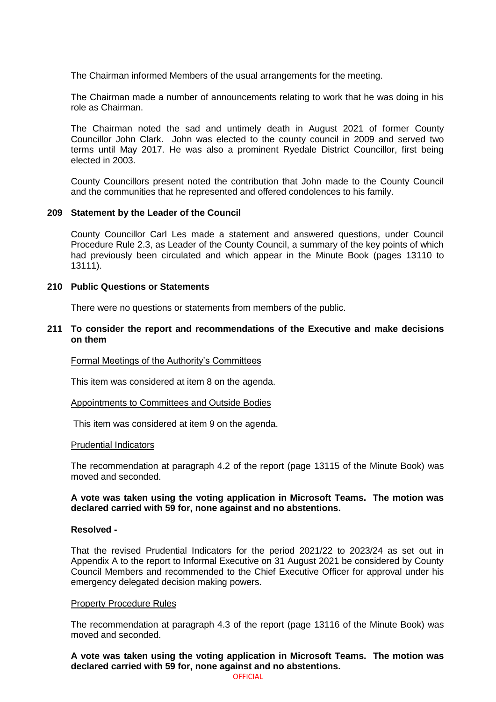The Chairman informed Members of the usual arrangements for the meeting.

The Chairman made a number of announcements relating to work that he was doing in his role as Chairman.

The Chairman noted the sad and untimely death in August 2021 of former County Councillor John Clark. John was elected to the county council in 2009 and served two terms until May 2017. He was also a prominent Ryedale District Councillor, first being elected in 2003.

County Councillors present noted the contribution that John made to the County Council and the communities that he represented and offered condolences to his family.

#### **209 Statement by the Leader of the Council**

County Councillor Carl Les made a statement and answered questions, under Council Procedure Rule 2.3, as Leader of the County Council, a summary of the key points of which had previously been circulated and which appear in the Minute Book (pages 13110 to 13111).

#### **210 Public Questions or Statements**

There were no questions or statements from members of the public.

#### **211 To consider the report and recommendations of the Executive and make decisions on them**

Formal Meetings of the Authority's Committees

This item was considered at item 8 on the agenda.

#### Appointments to Committees and Outside Bodies

This item was considered at item 9 on the agenda.

#### Prudential Indicators

The recommendation at paragraph 4.2 of the report (page 13115 of the Minute Book) was moved and seconded.

#### **A vote was taken using the voting application in Microsoft Teams. The motion was declared carried with 59 for, none against and no abstentions.**

#### **Resolved -**

That the revised Prudential Indicators for the period 2021/22 to 2023/24 as set out in Appendix A to the report to Informal Executive on 31 August 2021 be considered by County Council Members and recommended to the Chief Executive Officer for approval under his emergency delegated decision making powers.

#### Property Procedure Rules

The recommendation at paragraph 4.3 of the report (page 13116 of the Minute Book) was moved and seconded.

**A vote was taken using the voting application in Microsoft Teams. The motion was declared carried with 59 for, none against and no abstentions.**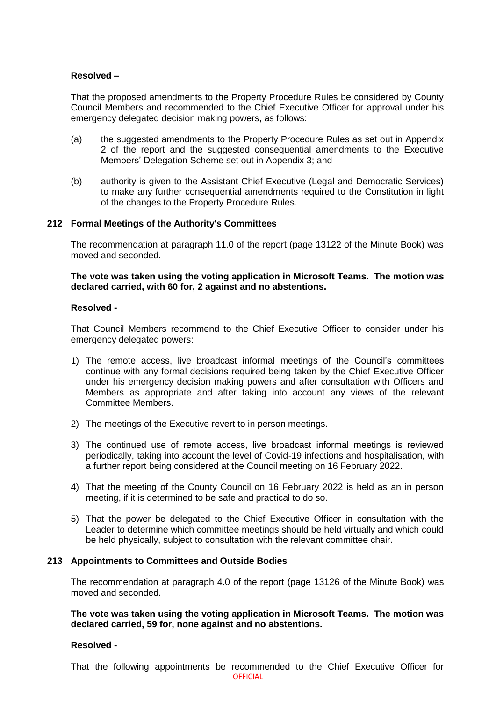# **Resolved –**

That the proposed amendments to the Property Procedure Rules be considered by County Council Members and recommended to the Chief Executive Officer for approval under his emergency delegated decision making powers, as follows:

- (a) the suggested amendments to the Property Procedure Rules as set out in Appendix 2 of the report and the suggested consequential amendments to the Executive Members' Delegation Scheme set out in Appendix 3; and
- (b) authority is given to the Assistant Chief Executive (Legal and Democratic Services) to make any further consequential amendments required to the Constitution in light of the changes to the Property Procedure Rules.

#### **212 Formal Meetings of the Authority's Committees**

The recommendation at paragraph 11.0 of the report (page 13122 of the Minute Book) was moved and seconded.

**The vote was taken using the voting application in Microsoft Teams. The motion was declared carried, with 60 for, 2 against and no abstentions.**

#### **Resolved -**

That Council Members recommend to the Chief Executive Officer to consider under his emergency delegated powers:

- 1) The remote access, live broadcast informal meetings of the Council's committees continue with any formal decisions required being taken by the Chief Executive Officer under his emergency decision making powers and after consultation with Officers and Members as appropriate and after taking into account any views of the relevant Committee Members.
- 2) The meetings of the Executive revert to in person meetings.
- 3) The continued use of remote access, live broadcast informal meetings is reviewed periodically, taking into account the level of Covid-19 infections and hospitalisation, with a further report being considered at the Council meeting on 16 February 2022.
- 4) That the meeting of the County Council on 16 February 2022 is held as an in person meeting, if it is determined to be safe and practical to do so.
- 5) That the power be delegated to the Chief Executive Officer in consultation with the Leader to determine which committee meetings should be held virtually and which could be held physically, subject to consultation with the relevant committee chair.

#### **213 Appointments to Committees and Outside Bodies**

The recommendation at paragraph 4.0 of the report (page 13126 of the Minute Book) was moved and seconded.

**The vote was taken using the voting application in Microsoft Teams. The motion was declared carried, 59 for, none against and no abstentions.**

#### **Resolved -**

**OFFICIAL** That the following appointments be recommended to the Chief Executive Officer for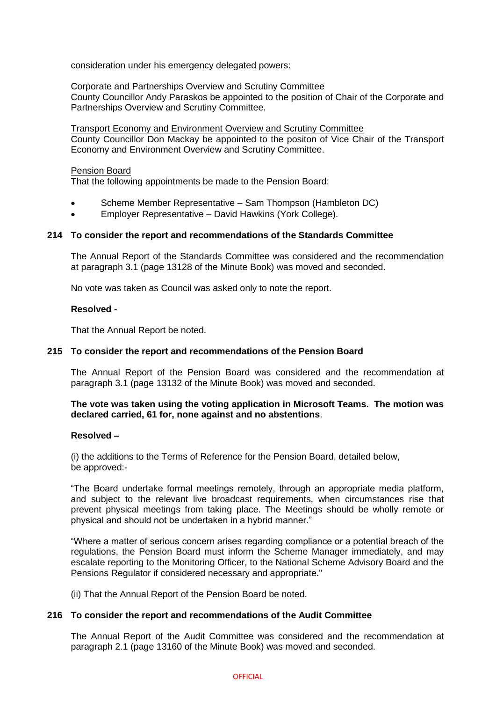consideration under his emergency delegated powers:

Corporate and Partnerships Overview and Scrutiny Committee County Councillor Andy Paraskos be appointed to the position of Chair of the Corporate and Partnerships Overview and Scrutiny Committee.

Transport Economy and Environment Overview and Scrutiny Committee County Councillor Don Mackay be appointed to the positon of Vice Chair of the Transport Economy and Environment Overview and Scrutiny Committee.

# Pension Board

That the following appointments be made to the Pension Board:

- Scheme Member Representative Sam Thompson (Hambleton DC)
- Employer Representative David Hawkins (York College).

#### **214 To consider the report and recommendations of the Standards Committee**

The Annual Report of the Standards Committee was considered and the recommendation at paragraph 3.1 (page 13128 of the Minute Book) was moved and seconded.

No vote was taken as Council was asked only to note the report.

#### **Resolved -**

That the Annual Report be noted.

## **215 To consider the report and recommendations of the Pension Board**

The Annual Report of the Pension Board was considered and the recommendation at paragraph 3.1 (page 13132 of the Minute Book) was moved and seconded.

**The vote was taken using the voting application in Microsoft Teams. The motion was declared carried, 61 for, none against and no abstentions**.

#### **Resolved –**

(i) the additions to the Terms of Reference for the Pension Board, detailed below, be approved:-

"The Board undertake formal meetings remotely, through an appropriate media platform, and subject to the relevant live broadcast requirements, when circumstances rise that prevent physical meetings from taking place. The Meetings should be wholly remote or physical and should not be undertaken in a hybrid manner."

"Where a matter of serious concern arises regarding compliance or a potential breach of the regulations, the Pension Board must inform the Scheme Manager immediately, and may escalate reporting to the Monitoring Officer, to the National Scheme Advisory Board and the Pensions Regulator if considered necessary and appropriate."

(ii) That the Annual Report of the Pension Board be noted.

#### **216 To consider the report and recommendations of the Audit Committee**

The Annual Report of the Audit Committee was considered and the recommendation at paragraph 2.1 (page 13160 of the Minute Book) was moved and seconded.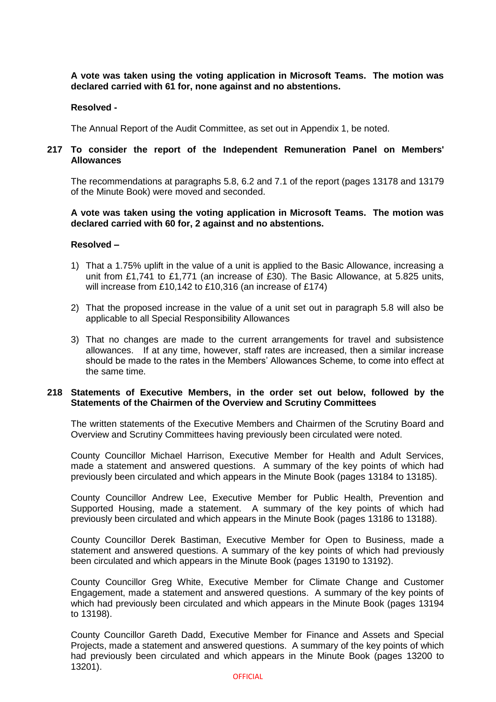# **A vote was taken using the voting application in Microsoft Teams. The motion was declared carried with 61 for, none against and no abstentions.**

## **Resolved -**

The Annual Report of the Audit Committee, as set out in Appendix 1, be noted.

## **217 To consider the report of the Independent Remuneration Panel on Members' Allowances**

The recommendations at paragraphs 5.8, 6.2 and 7.1 of the report (pages 13178 and 13179 of the Minute Book) were moved and seconded.

# **A vote was taken using the voting application in Microsoft Teams. The motion was declared carried with 60 for, 2 against and no abstentions.**

#### **Resolved –**

- 1) That a 1.75% uplift in the value of a unit is applied to the Basic Allowance, increasing a unit from £1,741 to £1,771 (an increase of £30). The Basic Allowance, at 5.825 units, will increase from £10,142 to £10,316 (an increase of £174)
- 2) That the proposed increase in the value of a unit set out in paragraph 5.8 will also be applicable to all Special Responsibility Allowances
- 3) That no changes are made to the current arrangements for travel and subsistence allowances. If at any time, however, staff rates are increased, then a similar increase should be made to the rates in the Members' Allowances Scheme, to come into effect at the same time.

#### **218 Statements of Executive Members, in the order set out below, followed by the Statements of the Chairmen of the Overview and Scrutiny Committees**

The written statements of the Executive Members and Chairmen of the Scrutiny Board and Overview and Scrutiny Committees having previously been circulated were noted.

County Councillor Michael Harrison, Executive Member for Health and Adult Services, made a statement and answered questions. A summary of the key points of which had previously been circulated and which appears in the Minute Book (pages 13184 to 13185).

County Councillor Andrew Lee, Executive Member for Public Health, Prevention and Supported Housing, made a statement. A summary of the key points of which had previously been circulated and which appears in the Minute Book (pages 13186 to 13188).

County Councillor Derek Bastiman, Executive Member for Open to Business, made a statement and answered questions. A summary of the key points of which had previously been circulated and which appears in the Minute Book (pages 13190 to 13192).

County Councillor Greg White, Executive Member for Climate Change and Customer Engagement, made a statement and answered questions. A summary of the key points of which had previously been circulated and which appears in the Minute Book (pages 13194 to 13198).

County Councillor Gareth Dadd, Executive Member for Finance and Assets and Special Projects, made a statement and answered questions. A summary of the key points of which had previously been circulated and which appears in the Minute Book (pages 13200 to 13201).